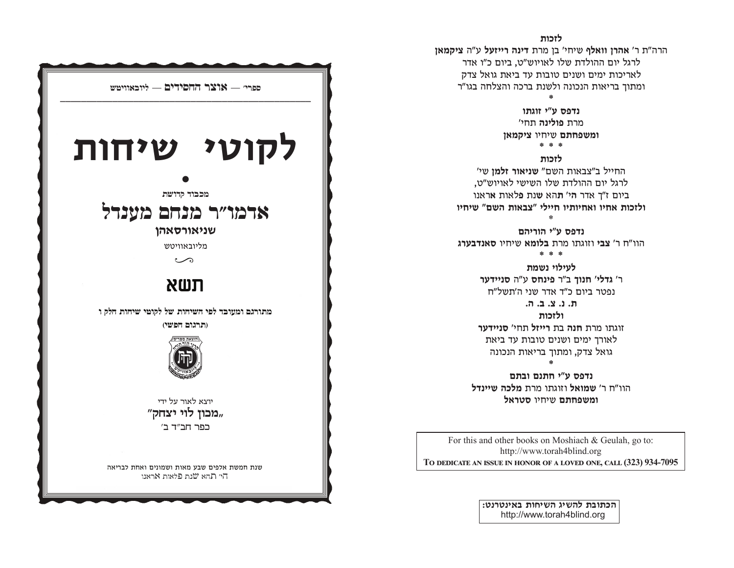# לזכות

הרה"ת ר' אהרן וואלף שיחי' בן מרת דינה רייזעל ע"ה ציקמאן לרגל יום ההולדת שלו לאויוש"ט, ביום כ"ו אדר לאריכות ימים ושנים טובות עד ביאת גואל צדק ומתוד בריאות הנכונה ולשנת ברכה והצלחה בגו"ר

> נדפס ע״י זוגתו מרת פולינה תחי' ומשפחתם שיחיו ציקמאן

> > \* \* \*

לזכות

החייל ב"צבאות השם" שניאור זלמן שי' לרגל יום ההולדת שלו השישי לאויוש"ט, ביום ז"ך אדר הי' תהא שנת פלאות אראנו ולזכות אחיו ואחיותיו חיילי "צבאות השם" שיחיו

נדפס ע"י הוריהם הוו"ח ר' צבי וזוגתו מרת בלומא שיחיו סאנדבערג

\* \* \*

לעילוי נשמת ר' גדלי' חנוך ב"ר פינחס ע"ה סניידער נפטר ביום כ"ד אדר שני ה'תשל"ח

 $A, B, C, C, D$ 

ולזכות זוגתו מרת **חנה** בת רייזל תחי' סניידער לאורד ימים ושנים טובות עד ביאת גואל צדק, ומתוך בריאות הנכונה

נדפס ע"י חתנם ובתם הוו"ח ר' שמואל וזוגתו מרת מלכה שיינדל ומשפחתם שיחיו סטראל

For this and other books on Moshiach & Geulah, go to: http://www.torah4blind.org TO DEDICATE AN ISSUE IN HONOR OF A LOVED ONE, CALL (323) 934-7095

> הכתובת להשיג השיחות באינטרנט: http://www.torah4blind.org

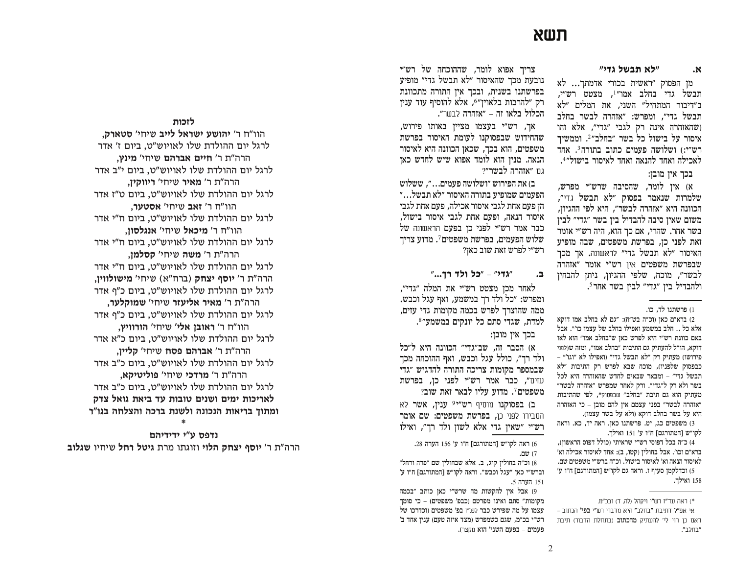# **C\]**

## **LFE O\D] CO C**

מן הפסוק "ראשית בכורי אדמתך... לא תבשל גדי בחלב אמו״<sup>1</sup>, מצטט רש״י, ב״דיבור המתחיל״ השני, את המלים ״לא תבשל גדי", ומפרש: "אזהרה לבשר בחלב ושהאזהרה אינה רק לגבי "גדי", אלא זהו איסור על בישול כל בשר ״בחלב״2. וממשיך רש״י:) ושלושה פעמים כתוב בתורה<sup>3</sup>. אחד  $\mathcal{L}^{4}$ לאכילה ואחד להנאה ואחד לאיסור בישול

## בכך אין מובן:

א) אין לומר, שהסיבה שרש״י מפרש, שלמרות שנאמר בפסוק ״לא תבשל גדי״, הכוונה היא ״אזהרה לבשר״, היא לפי ההגיון, משום שאין סיבה להבדיל בין בשר ״גדי״ לבין  $\pm$ בשר אחר. שהרי, אם כך הוא, היה רש״י אומר זאת לפני כן, בפרשת משפטים, שבה מופיע האיסור ״לא תבשל גדי״ לראשונה, אך מכך שבפרשת משפטים אין רש״י אומר ״אזהרה לבשר״, מוכח, שלפי ההגיון, ניתן להבחין ולהבדיל ביו ״גדי״ לביו בשר אחר *5.* 

#### ו) פרשתנו לד, כו.

2) ברא״ם כאן (וכ״ה בש״ח): ״גם לא בחלב אמו דוקא אלא כל .. חלב במשמע ואפילו בחלב של עצמו כו׳״. אבל באם כוונת רש"י היא לפרש כאז ש"בחלב אמו" הוא לאו דוקא, הו״ל להעתיק גם התיבות ״בחלב אמו״, ומזה ש(לפני פירושו) מעתיק רק ״לא תבשל גדי״ (ואפילו לא ״וגו׳״ – כבפסוק שלפניו), מוכח שבא לפרש רק התיבות ״לא תבשל גדי״ – ומבאר שבאים לחדש שהאזהרה היא לכל בשר ולא רק ל"גדי". ורק לאחר שמפרש "אזהרה לבשר" מעתיק הוא גם תיבת "בחלב" שבפסוק\*, לפי שהתיבות הורה לבשר" בפני עצמם אין להם מובן – כי האזהרה" היא על בשר בחלב דוקא וולא על בשר עצמו).

משפטים כג, יט. פרשתנו כאן. ראה יד, כא. וראה (3 לקו״ש [המתורגם] ח״ו ע׳ 151 ואילך.

4) כ״ה בכל דפוסי רש״י שראיתי (כולל דפוס הראשון), ברא״ם וכו׳. אבל בחולין (קטו, ב): אחד לאיסור אכילה וא׳ לאיסור הנאה וא׳ לאיסור בישול. וכ״ה ברש״י משפטים שם. 'U וכדלקמן סעיף ז. וראה גם לקו״ש [המתורגם] ח״ו ע 158 ואילד.

צריד אפוא לומר, שההוכחה של רש״י נובעת מכך שהאיסור ״לא תבשל גדי״ מופיע בפרשתנו בשנית, ובכך אין התורה מתכוונת רק "להרבות בלאוין"6, אלא להוסיף עוד ענין הכלול בלאו זה – ״אזהרה לבשר״.

אך, רש״י בעצמו מציין באותו פירוש, שהחידוש שבפסוקנו לעומת האיסור בפרשת משפטים, הוא בכך, שכאן הכוונה היא לאיסור הנאה. מנין הוא לומד אפוא שיש לחדש כאז נם "אזהרה לבשר"?

 $\Xi$ ב) את הפירוש ״ושלושה פעמים...״, ששלוש הפעמים שמופיע בתורה האיסור ״לא תבשל…״ הן פעם אחת לגבי איסור אכילה, פעם אחת לגבי איסור הנאה, ופעם אחת לגבי איסור בישול, כבר אמר רש״י לפני כן בפעם הראשונה של שלוש הפעמים, בפרשת משפטים $^7$ . מדוע צריך רש״י לפרש זאת שוב כאן?

# **E.** "גדי" – "כל ולד רד...."

לאחר מכו מצטט רש״י את המלה ״גדי״, ומפרש: ״כל ולד רד במשמע, ואף עגל וכבש. ממה שהוצרך לפרש בכמה מקומות גדי עזים, למדת, שגדי סתם כל יונקים במשמע"<sup>8</sup>.

#### בכך אין מובן:

א) הסבר זה, שב"גדי" הכוונה היא ל"כל ולד רד״, כולל עגל וכבש, ואף ההוכחה מכך שבמספר מקומות צריכה התורה להדגיש ״גדי עזים", כבר אמר רש"י לפני כן, בפרשת  $?$ משפטים $\,$ . מדוע עליו לבאר זאת שוב

**ב) בפסוקנו** מוסיף **ר**ש״י° ענין**, אשר** לא הסבירו לפני כו**. בפרשת משפטים: שם אומר** "ש״י "שאיז גדי אלא לשוז ולד רד". ואילו

6) ראה לקו״ש [המתורגם] ח״ו ע׳ 156 הערה 28.  $\overline{w}$  (7

וכ״ה בחולין קיג, ב. אלא שבחולין שם "פרה ורחל" (8 וברש״י כאן ״עגל וכבש״. וראה לקו״ש [המתורגם] ח״ו ע׳ 5 הערה 5.

בכמה" 9) אבל אין להקשות מה שרש״י כאן כותב מקומות״ סתם ואינו מפרטם (כבפ׳ משפטים) – כי סומך עצמו על מה שפירש כבר לפנ″ז בפ׳ משפטים (וכדרכו של רש״י בכ״מ, שגם כשמפרש (מצד איזה טעם) ענין אחד ב׳ פעמים – בפעם השני' הוא מקצר)**.** 

## **לזכות**

הוו"ח ר' **יהושע ישראל לייב** שיחי' סטארק. לרגל יום ההולדת שלו לאויוש"ט, ביום ז' אדר הרה"ת ר' **חיים אברהם** שיחי' **מינץ,** לרגל יום ההולדת שלו לאויוש"ט, ביום י"ב אדר הרה"ת ר' **מאיר** שיחי' **ריווקין**, לרגל יום ההולדת שלו לאויוש"ט. ביום ט"ז אדר הוו"ח ר' זאב שיחי' אסטער. לרגל יום ההולדת שלו לאויוש"ט, ביום ח"י אדר הוו"ח ר' **מיכאל** שיחי' אנגלסון, לרגל יום ההולדת שלו לאויוש"ט, ביום ח"י אדר הרה"ת ר' **משה** שיחי' **קסלמן.** לרגל יום ההולדת שלו לאויוש"ט. ביום ח"י אדר הרה"ת ר' **יוסף יצחק** (ברח"א) שיחי' **מישולוויו**. לרגל יום ההולדת שלו לאויוש"ט, ביום כ"ף אדר הרה"ת ר' **מאיר אליעזר** שיחי' **שמוקלער.** לרגל יום ההולדת שלו לאויוש"ט. ביום כ"ף אדר הוו"ח ר' **ראובן אלי**' שיחי' **הורוויץ**, לרגל יום ההולדת שלו לאויוש"ט, ביום כ"א אדר הרה"ת ר' **אברהם פסח** שיחי' **קליין**, לרגל יום ההולדת שלו לאויוש"ט, ביום כ"ב אדר הרה"ת ר' **מרדכי** שיחי' **פוליטיקא.** לרגל יום ההולדת שלו לאויוש"ט. ביום כ"ב אדר לאריכות ימים ושנים טובות עד ביאת גואל צדק ומתוך בריאות הנכונה ולשנת ברכה והצלחה בגו"ר

## **\***נדפס ע"י ידידיהם

הרה"ת ר' **יוסף יצחק הלוי** וזוגתו מרת **גיטל רחל** שיחיו **שגלוב** 

<sup>)</sup> ראה עד"ז רש"י ויקהל (לה. ד) ובכ"מ.

אי אפ״ל דתיבת ״בחלב״ היא מדברי רש״י **בפי**׳ הכתוב – דאם כן הוי לי׳ להעתיק **מהכתוב** (בתחלת הדבור) תיבת "בחלב".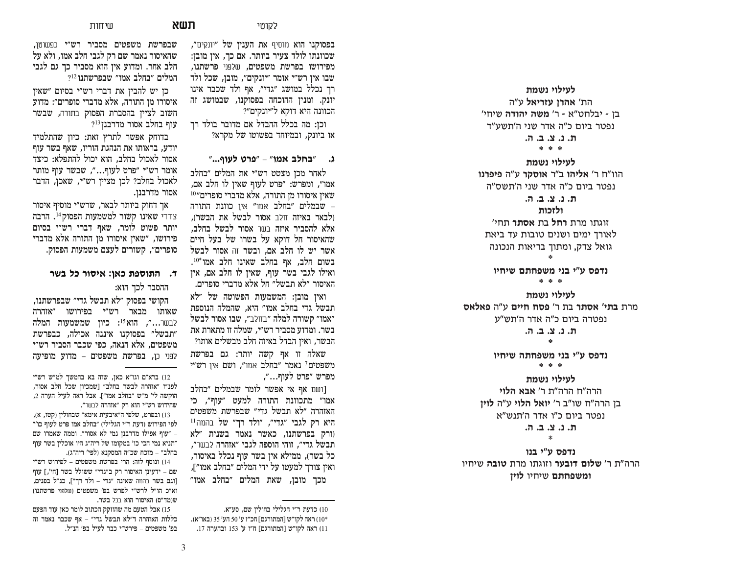**לעילוי נשמת** הת' **אהרו עזריאל** ע"ה בן **-** יבלחט״א - ר׳ **משה יהודה** שיחי׳ נפטר ביום כ"ה אדר שני ה'תשע"ד

**ת. נ. צ. ב. ה.** 

**\* \* \***

לעילוי נשמת

הוו"ח ר' **אליהו** ב"ר **אוסקר** ע"ה **פיפרנו** נפטר ביום כ"ה אדר שני ה'תשס"ה

**ת. נ. צ. ב. ה.** 

ולזכות

**זוגתו מרת <b>רחל** בת **אסתר** תחי׳ לאורד ימים ושנים טובות עד ביאת גואל צדק, ומתוך בריאות הנכונה

\*

נדפס ע"י בני משפחתם שיחיו

**\* \* \***

לעילוי נשמת מרת **בתי' אסתר** בת ר' **פסח חיים** ע"ה **פאלאס** נפטרה ביום כ״ה אדר ה'תש״ע **ת. נ. צ. ב. ה.** 

**\***

נדפס ע"י בני משפחתה שיחיו

**\* \* \***

לעילוי נשמת הרה״ח הרה״ת ר**׳ אבא הלוי kuhi בן הרה"ח שו"ב ר' <b>יואל הלוי** ע"ה **לוין**  $\mu$ נפטר ביום כ״ו אדר ה'תנש״א

**,/ b/ m/ c/ v/**

\*

נדפס ע"י בנו הרה"ת ר' **שלום דובער** וזוגתו מרת **טובה** שיחיו **ומשפחתם** שיחיו **לויז** 

**C**אוטי **תשא** 

שיחות

בפסוקנו הוא מוסיף את הענין של ״יונקים״, שכוונתו לולד צעיר ביותר. אם כך, אין מובן: מפירושו בפרשת משפטים, שלפני פרשתנו, שבו אין רש"י אומר "יונקים", מובן, שכל ולד רך נכלל במושג "גדי", אף ולד שכבר אינו יונק. ומנין ההוכחה בפסוקנו, שבמושג זה הכוונה היא דוקא ל״יונקים״?

וכן: מה בכלל ההבדל אם מדובר בולד רך או ביונק, ובמיוחד בפשוטו של מקרא?

**VHUO K[W HQC DOJD E**

לאחר מכן מצטט רש״י את המלים ״בחלב אמו". ומפרש: "פרט לעוף שאיז לו חלב אם.  $^{10}$ שאין איסורו מן התורה, אלא מדברי סופרים שבמלים "בחלב אמו" אין כוונת התורה (לבאר באיזה חלר אסור לבשל את הבשר). אלא להסביר איזה בשר אסור לבשל בחלב, שהאיסור חל דוקא על בשרו של בעל חיים אשר יש לו חלב אם, ובשר זה אסור לבשל בשום חלב, אף בחלב שאינו חלב אמו<sup>\*10</sup>. ואילו לגבי בשר עוף, שאין לו חלב אם, אין האיסור "לא תבשל" חל אלא מדברי סופרים.

ראין מובן: המשמעות הפשוטה של ״לא תבשל גדי בחלב אמו״ היא. שהמלה הנוספת אמו״ קשורה למלה ״בחלב״. שבו אסור לבשל ם בשר. ומדוע מסביר רש"י, שמלה זו מתארת את הבשר, ואין הבדל באיזה חלב מבשלים אותו?

שאלה זו אף קשה יותר: גם בפרשת משפטים<sup>7</sup> נאמר ״בחלב אמו״, ושם אין רש״י מפרש ״פרט לעוף…״,

[ושם אף אי אפשר לומר שבמלים ״בחלב אמו״ מתכוונת התורה למעט ״עוף״. כי האזהרה "לא תבשל גדי" שבפרשת משפטים היא רק לגבי ״גדי״, ״ולד רך״ של בהמה<sup>11</sup> ורק בפרשתנו, כאשר נאמר בשנית ״לא תבשל גדי״, זוהי הוספה לגבי ״אזהרה לבשר״, בל בשר), ממילא איז בשר עוף נכלל באיסור, ואין צורך למעטו על ידי המלים ״בחלב אמו״], מכר מובז. שאת המלים ״בחלב אמו״

10) כדעת ר״י הגלילי בחולין שם, סע״א. 00°) ראה לקו״ש [המתורגם] חכ״ז ע׳ 50 הע׳ 35 (באו״א). 17) ראה לקו״ש [המתורגם] ח״ו ע׳ 153 ובהערה 17.

שבפרשת משפטים מסביר רש״י כפשוטן, שהאיסור נאמר שם רק לגבי חלב אמו, ולא על חלב אחר. ומדוע אין הוא מסביר כך גם לגבי המלים ״בחלב אמו״ שבפרשתנו<sup>12</sup>?

כן יש להבין את דברי רש״י בסיום ״שאין איסורו מן התורה, אלא מדברי סופרים״: מדוע חשוב לציין בהסברת הפסוק בתורה, שבשר  $^{213}$ עוף בחלב אסור מדרבנז

בדוחק אפשר לתרץ זאת: כיון שהתלמיד יודע, בראותו את הנהגת הוריו, שאף בשר עוף אסור לאכול בחלב. הוא יכול להתפלא: כיצד אומר רש"י "פרט לעוף...", שבשר עוף מותר לאכול בחלב? לכן מציין רש"י, שאכו, הדבר אסור מדרבנן.

אך דחוק ביותר לבאר, שרש״י מוסיף איסור צדדי שאינו קשור למשמעות הפסוק<sup>14</sup>. הרבה יותר פשוט לומר, שאף דברי רש"י בסיום פירושו, "שאין איסורו מן התורה אלא מדברי סופרים״, קשורים לעצם משמעות הפסוק.

# **[\D ON [HTLC RCN ]WTH]G F**

ההסבר לכד הוא:

הקושי בפסוק ״לא תבשל גדי״ שבפרשתנו, שאותו מבאר רש״י בפירושו ״אזהרה לבשר**...", הוא<sup>15</sup>: כיון שמשמעות המלה** "תבשל" בפסוקנו איננה אכילה, כבפרשת משפטים, אלא הנאה, כפי שכבר הסביר רש״י לפני כו, בפרשת משפטים – מדוע מופיעה

רש״י ברא״ם וגו״א כאן, שזה בא בהמשך למ״ש רש״י C לפנ״ז ״אזהרה לבשר בחלב״ [שמכיון שכל חלב אסור, הוקשה לי' מ״ש ״בחלב אמו״]. אבל ראה לעיל הערה 2, שחידוש רש״י הוא רק ״אזהרה לבשר״.

13) ובפרט, שלפי ה"איבעית אימא" שבחולין (קטז, א), לפי הפירוש (דעת ר״י הגלילי) ״בחלב אמו פרט לעוף כו׳״ עוף אפילו מדרבנן נמי לא אסור". וממה שאמרו שם " תניא נמי הכי כו' במקומו של ריה״ג היו אוכלין בשר עוף בחלב״ – מוכח שכ״ה המסקנא (לפי׳ ריה״ג).

ונוסף לזה: הרי בפרשת משפטים – לפירוש רש"י (14 שם – ידעינן האיסור רק ב״גדי״ ששולל בשר [חי׳,] עוף [וגם בשר בהמה שאינה "גדי – ולד רך"], כנ"ל בפנים, וא״כ הו״ל לרש״י לפרש בפ׳ משפטים (שלפני פרשתנו) ש(מד״ס) האיסור הוא בכל בשר.

15) אבל הטעם מה שהוזקק הכתוב לומר כאן עוד הפעם כללות האזהרה ד"לא תבשל גדי" – אף שכבר נאמר זה בפ' משפטים – פירש״י כבר לעיל בפ' הנ״ל.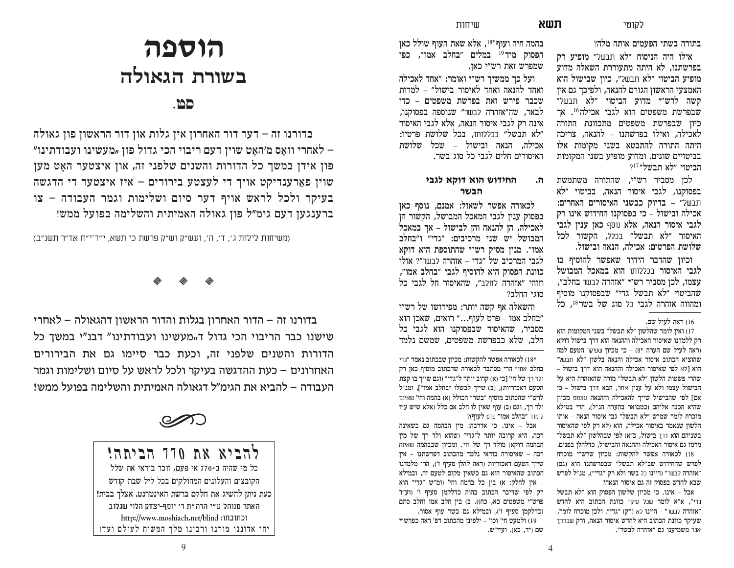בתורה בשתי הפעמים אותה מלה?

אילו היה הניסוח "לא תבשל" מופיע רק בפרשתנו. לא היתה מתעוררת השאלה מדוע מופיע הביטוי "לא תבשל", כיון שבישול הוא האמצעי הראשון הגורם להנאה, ולפיכך גם אין קשה לרש״י מדוע הביטוי ״לא תבשל״ שבפרשת משפטים הוא לגבי אכילה<sup>16</sup>. אך כיון שבפרשת משפטים מתכוונת התורה לאכילה, ואילו בפרשתנו – להנאה, צריכה היתה התורה להתבטא בשני מקומות אלו בביטויים שונים. ומדוע מופיע בשני המקומות הביטוי "לא תבשל"<sup>17</sup>

לכו מסביר רש״י, שהתורה משתמשת בפסוקנו, לגבי איסור הנאה, בביטוי ״לא תבשל" – בדיוק כבשני האיסורים האחרים: אכילה ובישול – כי בפסוקנו החידוש אינו רק לגבי איסור הנאה, אלא נוסף כאן ענין לגבי האיסור "לא תבשל" בכלל, הקשור לכל שלושת הפרטים: אכילה, הנאה ובישול.

וכיון שהדבר היחיד שאפשר להוסיף בו לגבי האיסור בכללותו הוא במאכל המבושל עצמו, לכן מסביר רש״י ״אזהרה לבשר בחלב״, שהביטוי "לא תבשל גדי" שבפסוקנו מוסיף ומהווה אזהרה לגבי רל סוג של בשר<sup>18</sup>. כל

#### 16) ראה לעיל שם.

ואיז לומר שהלשוז "לא תבשל" בשני המקומות הוא C רק ללמדנו שאיסור האכילה וההנאה הוא דרך בישול דוקא וראה לעיל שם הערה \*8) – כי מכיוו שעיקר הטעם למה שהוציא הכתוב איסור אכילה והנאה בלשון ״לא תבשל״ הוא [לא לפי שאיסור האכילה וההנאה הוא דרך בישול – סהרי פשטות הלשוו "לא תבשל" מורה שהאזהרה היא על הבישול עצמו ולא על ענין אחר, הבא דרך בישול - כי אם] לפי שהבישול שייר להאכילה וההנאה עצוום מכיוז  $\sim$ שהיא הכנה אליהם וכמבואר בהערה הנ״ל). הרי במילא מוכרח לומר שמ"ש "לא תבשל" גבי איסור הנאה – אותו הלשוו שנאמר באיסור אכילה, הוא (לא רק לפי שהאיסור  $F$ בשניהם הוא דרך בישול, כ"א) לפי שבהלשון בשל מרמז גם איסור האכילה וההנאה והבישול, כדלהלו בפנים. לכאורה אפשר להקשות: מכיון שרש"י מוכרח  $(5)$ וגם) כלפרש כבודו כל הוא החידוש ה אזהרה לבשר" (היינו כל בשר ולא רק "גדי"). מנ"ל לפרש שבא לחדש בפסוק זה גם איסור הנאה?

 כי מכיון שלשון הפסוק הוא "לא תבשל Azt" אבל גדי", א"א לומר שכל עיקר **כוונת הכתוב היא לחדש** "אזהרה לבשר" – היינו לא (רק) "גדי". ולכן מוכרח לומר, שעיקר כוונת הכתוב היא לחדש איסור הנאה, ורק שבדרד אגב משמיענו גם ״אזהרה לבשר״.

בהמה חיה ועוף 18 $^*$ , אלא שאת העוף שולל כאן הפסוק מיד<sup>19</sup> במלים ״בחלב אמו״. כפי שמפרש זאת רש״י כאז.

ועל כך ממשיך רש״י ואומר: "אחד לאכילה ואחד להנאה ואחד לאיסור בישול" – למרות שכבר פירש זאת בפרשת משפטים – כדי לבאר, שה״אזהרה לבשר״ שנוספה בפסוקנו, אינה רק לגבי איסור הנאה, אלא לגבי האיסור לא תבשל״ בכללותו, בכל שלושת פרטיו: אכילה, הנאה ובישול – שכל שלושת האיסורים חלים לגבי כל סוג בשר.

# ה. החידוש הוא דוקא לגבי **הבשר**

לכאורה אפשר לשאול: אמנם, נוסף כאז בפסוק עניו לגבי המאכל המבושל, הקשור הו לאכילה, הן להנאה והן לבישול – אך במאכל המבושל יש שני מרכיבים: ״גדי״ ו״בחלב אמו". מנין מסיק רש"י שהתוספת היא דוקא לגבי המרכיב של ״גדי – אזהרה לבשר״? אולי כוונת הפסוק היא להוסיף לגבי ״בחלב אמו״, וזוהי "אזהרה לחלב". שהאיסור חל לגבי כל "סוגי החלב?

והשאלה אף קשה יותר: מפירושו של רש״י בחלב אמו – פרט לעוף..." רואים, שאכן הוא מסביר, שהאיסור שבפסוקנו הוא לגבי כל חלב. שלא כבפרשת משפטים. שמשם נלמד

לכאורה אפשר להקשות: מכיון שבכתוב נאמר ״גדי  $(18\,^*)$ בחלב אמו" הרי מסתבר לכאורה שהכתוב מוסיף כאן רק ולד רך של חי׳ [כי (א) קרוב יותר ל״גדי״ (וגם שייך בו קצת הטעם דאכזריות), (ב) שייך לבשלו "בחלב אמו"], ומנ"ל לרש״י שהכתוב מוסיף ״בשר״ הכולל (א) בהמה וחי׳ שאינם  $U$ ולד רך, וגם (ב) עוף שאין לו חלב אם כלל ואלא שיש ע לימוד "בחלב אמו" פרט לעוף)?

הבל – אינו. כי אדרבה: מיו הבהמה גם כשאינה רכה, היא קרובה יותר ל"גדי" (שהוא ולד רך של מין הבהמה דוקא) מולד רך של חי׳. ומכיון שבבהמה שאינה רכה – שאיסורה בודאי נלמד מהכתוב דפרשתנו – איז שייך הטעם דאכזריות (ראה להלן סעיף ז'), הרי מלמדנו הכתוב שהאיסור הוא גם כשאין מקום לטעם זה, ובמילא – אין לחלק: א) בין כל בהמה וחי' (ומ״ש ״גדי״ הוא רק לפי שדיבר הכתוב בהוה כדלקמן סעיף ו׳ (וע״ד פרש״י משפטים כא, כח)). ב) בין חלב אמו וחלב סתם (כדלקמן סעיף ז'), ובמילא גם בשר עוף אסור. 19) ולמעט חי׳ וכו׳ – ילפינן מהכתוב דפ׳ ראה כפרש״י

שם (יד. כא), ועיי״ש.

# **תוספה** בשורת הגאולה

# **xy/**

בדורנו זה – דער דור האחרון אין גלות און דור הראשון פון גאולה . לאחרי וואַס מ׳האַט שוין דעם ריבוי הכי גדול פון "מעשינו ועבודתינו" פון אידן במשך כל הדורות והשנים שלפני זה, און איצטער האַט מען שוין פארענדיקט אויך די לעצטע בירורים – איז איצטער די הדגשה בעיקר ולכל לראש אויף דער סיום ושלימות וגמר העבודה – צו ברענגען דעם גימ״ל פון גאולה האמיתית והשלימה בפועל ממש!

(משיחות לילות ג', ד', ה', ועש"ק וש"ק פרשת כי תשא, י"ד־י"ח אד"ר תשנ"ב)

 $\textcolor{red}{\diamondsuit}$  $\textcolor{red}{\diamondsuit}$  $\textcolor{red}{\diamondsuit}$ 

בדורנו זה – הדור האחרון בגלות והדור הראשון דהגאולה – לאחרי שישנו כבר הריבוי הכי גדול ד<sub>"</sub>מעשינו ועבודתינו" דבנ"י במשך כל הדורות והשנים שלפני זה, וכעת כבר סיימו גם את הבירורים האחרונים – כעת ההדגשה בעיקר ולכל לראש על סיום ושלימות וגמר העבודה – להביא את הגימ"ל דגאולה האמיתית והשלימה בפועל ממש!



להביא את 770 הביתה! כל מי שהיה ב-770 אי פעם, זוכר בודאי את שלל הקובצים והעלונים המחולקים בכל ליל שבת קודש כעת ניתן להשיג את חלקם ברשת האינטרנט, אצלך בבית! האתר מנוהל ע"י הרה"ת ר' יוסף-יצחק הלוי שגלוב http://www.moshiach.net/blind :וכתובתו יחי אדוננו מורנו ורבינו מלך המשיח לעולם ועד!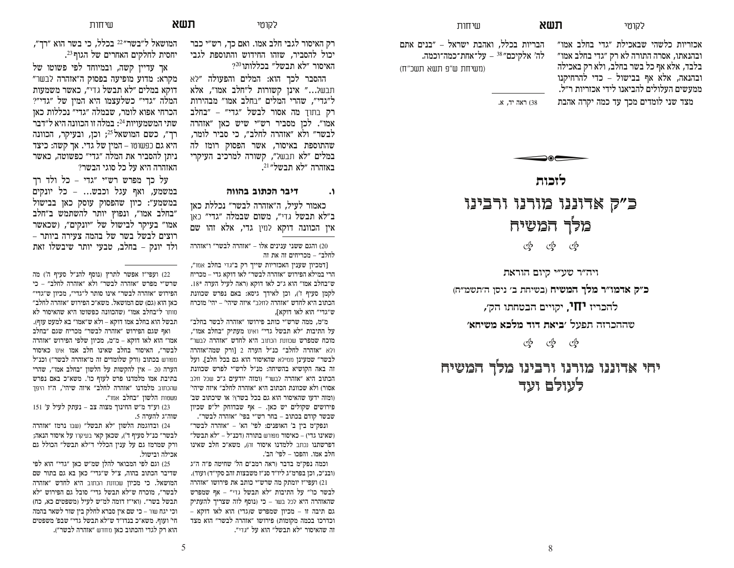אכזריות כלשהי שבאכילת ״גדי בחלב אמו״ ובהנאתו, אסרה התורה לא רק ״גדי בחלב אמו״ בלבד, אלא אף כל בשר בחלב, ולא רק באכילה ובהנאה, אלא אף בבישול – כדי להרחיקנו ממעשים העלולים להביאנו לידי אכזריות ר״ל. מצד שני לומדים מכך עד כמה יקרה אהבת

הבריות בכלל, ואהבת ישראל – ״בנים אתם לה׳ אלקיכם״38 – על־אחת־כמה־וכמה. שיחות

(משיחת ש"פ תשא תשכ"ח)

ראה יד, א.  $(38)$ 

**]HNIO**כ״ק אדוננו מורנו ורבינו מלך המשיח  $\mathbb{S}^5$   $\mathbb{S}^5$ 

ויה״ר שע״י קיום הוראת ב״ק אדמו״ר מלך המשיח (בשיחת ב׳ ניסן ה׳תשמ״ח) להכריז **יחו,** יקויים הבטחתו הק׳,  **CJL\Q CNOQ FHF ]CLD**  OUW] GI[NGG\

යු යු යු

יחי אדוננו מורנו ורבינו מלך המשיח לעולם ועד

רק האיסור לגבי חלב אמו. ואם כך, רש״י כבר יכול להסביר. שזהו החידוש והתוספת לגבי

 $?^{20}$ האיסור "לא תבשל" בכללותו ההסבר לכך הוא: המלים והפעולה ״לא תבשל..." אינו קשורות ל"חלב אמו", אלא ל״גדי״, שהרי המלים ״בחלב אמו״ מבהירות רק בתוך מה אסור לבשל ״גדי״ – ״בחלב אמו״. לכן מסביר רש״י שיש כאן ״אזהרה לבשר״ ולא ״אזהרה לחלב״, כי סביר לומר, שהתוספת באיסור, אשר הפסוק רומז לה במלים ״לא תבש*ל״. ה*שורה למרכיב העיקרי  $\big[$ באזהרה "לא תבשל"

#### **GHHGD DH]NG [DLF H**

כאמור לעיל, ה״אזהרה לבשר״ נכללת כאז ב״לא תבשל גדי״. משום שבמלה ״גדי״ כאו אין הכוונה דוקא למין גדי, אלא זהו שם

והגם ששני ענינים אלו – ״אזהרה לבשר״ ו״אזהרה (20 לחלב״ – מכריחים זה את זה

Fבמכיון שענין האכזריות שייך רק ב"גדי בחלב אמו", הרי במילא הפירוש "אזהרה לבשר" לאו דוקא גדי – מכריח ש"בחלב אמו" הוא ג"כ לאו דוקא (ראה לעיל הערה \*18. לקמן סעיף ז'), וכן לאידך גיסא: באם נפרש שכוונת הכתוב היא לחדש ״אזהרה לחלב״ איזה שיהי׳ – יהי׳ מוכרח ש״גדי״ הוא לאו דוקא],

מ"מ. ממה שרש"י כותב פירושו "אזהרה לבשר בחלב" על התיבות "לא תבשל גדי" ואינו מעתיק "בחלב אמו", מוכח שמפרש שכוונת הכתוב היא לחדש ״אזהרה לבשר״ ולא "אזהרה לחלב" כנ"ל הערה 2 [ורק שמה"אזהרה לבשר" שמעינן ממילא שהאיסור הוא גם בכל חלב]. ועל זה באה הקושיא בהשיחה: מנ"ל לרש"י לפרש שכוונת הכתוב היא "אזהרה לבשר" (ומזה יודעים ג"כ שכל חלב אסור) ולא שכוונת הכתוב היא ״אזהרה לחלב״ איזה שיהי׳ (ומזה ידעו שהאיסור הוא גם בכל בשר)? או שיכתוב שב  $\mathbb{R}$ פירושים שקולים יש כאן. - אף שבדוחק יל״פ שבשר קודם בכתוב – בחר רש״י בפי׳ ״אזהרה לבשר״.

ונפק״מ בין ב׳ האופנים: לפי׳ הא׳ – ״אזהרה לבשר״  $\theta$ ושאינו בדי) – כאיסור מפורש בתורה (דכנ״ל – "לא תבשל" הפרשתנו נכתב ללמדנו איסור זה). משא״כ חלב שאינו חלב אמו. והפכו – לפי' הב'.

וכמה נפק״מ בדבר (ראה רמב״ם הל׳ שחיטה פ״ה ה״ג (ובנ״כ, וכן בפרמ״ג ליו״ד סנ״ז משבצות זהב סקי״ד) ועוד). ועפי״ז יומתק מה שרש״י כותב את פירושו ״אזהרה (21 לבשר כו'״ על התיבות ״לא תבשל גדי״ – אף שמפרש שהאזהרה היא לכל בשר – כי (נוסף לזה שצריך להעתיק בם תיבה זו – מכיון שמפרש ש(גדי) הוא לאו דוקא וכדרכו בכמה מקומות) פירושו ״אזהרה לבשר״ הוא מצד וה שהאיסור ״לא תבשל״ הוא על ״גדי״**.** 

המושאל ל"בשר"<sup>22</sup> בכלל. כי בשר הוא "רד". יחסית לחלקים האחרים של הגוף 23.

אך עדיין קשה, ובמיוחד לפי פשוטו של מקרא: מדוע מופיעה בפסוק ה״אזהרה לבשר״ דוקא במלים "לא תבשל גדי". כאשר משמעות המלה ״גדי״ כשלעצמו היא המין של ״גדי״? הכרחי אפוא לומר, שבמלה ״גדי״ נכללות כאן שתי המשמעויות <sup>24</sup>: במלה זו הכוונה היא ל״דבר רך", כשם המושאל<sup>25</sup>; וכן, ובעיקר, הכוונה היא גם כפשוטו – המין של גדי. אך קשה: כיצד ניתו להסביר את המלה ״גדי״ כפשוטה. כאשר האזהרה היא על כל סוגי הבשר?

 $\mathbf{r}$ על כד מפרש רש"י "גדי – כל ולד רד במשמע, ואף עגל וכבש... – כל יונקים במשמע": כיון שהפסוק עוסק כאן בבישול "בחלב אמו", ונפוץ יותר להשתמש ב"חלב אמו" בעיקר לבישול של "יונקים", (שכאשר רוצים לבשל בשר של בהמה צעירה ביותר – ולד יונק – בחלב, טבעי יותר שיבשלו זאת

22) ועפי״ז אפשר לתרץ (נוסף להנ״ל סעיף ה׳) מה שרש״י מפרש ״אזהרה לבשר״ ולא ״אזהרה לחלב״ – כי הפירוש "אזהרה לבשר" אינו סותר ל"גדי". מכיוז ש"גדי" כאו הוא (גם) שם המושאל. משא״כ הפירוש ״אזהרה לחלב״  $\forall x$ סותר ל"בחלב אמו" (שהכוונה כפשוטו היא שהאיסור לא תבשל הוא בחלב אמו דוקא – ולא ש״אמו״ בא למעט עוף). ואף שגם הפירוש ״אזהרה לבשר״ מכריח שגם ״בחלב אמו״ הוא לאו דוקא – מ״מ, מכיון שלפי הפירוש ״אזהרה לבשר״, האיסור בחלב שאינו חלב אמו אינו כאיסור ופורש בכתוב (ורק שלומדים זה מ"אזהרה לבשר") וכנ"ל הערה 20 – אין להקשות על הלשון "בחלב אמו", שהרי בתיבת אמו מלמדנו פרט לעוף כו׳. משא״כ באם נפרש שהכתוב מלמד**נו ״אזהרה לחלב״ איזה שיהי׳, ה״ז** היפך פשטות **הלשון ״בחלב** אמו״.

151 וע״ד מ״ש החינוך מצוה צב – נעתק לעיל ע׳ 151 שוה"ג להערה 5.

12) ובדוגמת הלשון ״לא תבשל״ (שבו נרמז ״אזהרה לבשר״ כנ״ל סעיף ד׳), שכאן קאי בעיקרו על איסור הנאה; ורק שמרמז גם על עניו הכללי ד"לא תבשל" הכולל גם אכילה ובישול.

וגם לפי המבואר להלן שמ"ש כאן "גדי" הוא לפי (25 שדיבר הכתוב בהוה, צ"ל ש"גדי" כאז בא גם בתור שם המושאל. כי מכיון שכוונת הכתוב היא לחדש ״אזהרה לבשר״, מוכרח ש״לא תבשל גדי״ סובל גם הפירוש ״לא תבשל בשר״. וואי״ז דומה למ״ש לעיל ומשפטים כא. כח) וכי יגח שור - כי שם אין סברא לחלק בין שור לשאר בהמה חי' ועוף. משא״כ בנדו״ד ש״לא תבשל גדי״ שבפ' משפטים הוא רק לגדי והכתוב כאן מחדש "אזהרה לבשר").